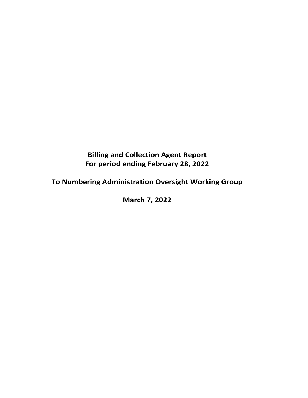# **Billing and Collection Agent Report For period ending February 28, 2022**

**To Numbering Administration Oversight Working Group**

**March 7, 2022**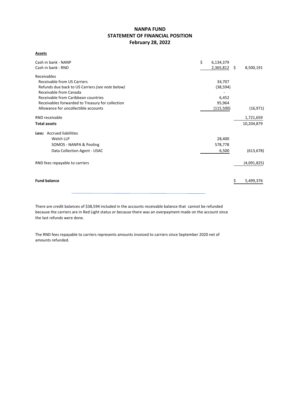## **NANPA FUND STATEMENT OF FINANCIAL POSITION February 28, 2022**

**Assets**

| Cash in bank - NANP<br>Cash in bank - RND        | \$<br>6,134,379<br>$2,365,812$ \$ | 8,500,191   |
|--------------------------------------------------|-----------------------------------|-------------|
|                                                  |                                   |             |
| Receivables                                      |                                   |             |
| Receivable from US Carriers                      | 34,707                            |             |
| Refunds due back to US Carriers (see note below) | (38, 594)                         |             |
| Receivable from Canada                           |                                   |             |
| Receivable from Caribbean countries              | 6,452                             |             |
| Receivables forwarded to Treasury for collection | 95,964                            |             |
| Allowance for uncollectible accounts             | (115,500)                         | (16, 971)   |
| RND receivable                                   |                                   | 1,721,659   |
| <b>Total assets</b>                              |                                   | 10,204,879  |
| Less: Accrued liabilities                        |                                   |             |
| Welch LLP                                        | 28,400                            |             |
| SOMOS - NANPA & Pooling                          | 578,778                           |             |
| Data Collection Agent - USAC                     | 6,500                             | (613, 678)  |
| RND fees repayable to carriers                   |                                   | (4,091,825) |
|                                                  |                                   |             |
| <b>Fund balance</b>                              |                                   | 5,499,376   |
|                                                  |                                   |             |

There are credit balances of \$38,594 included in the accounts receivable balance that cannot be refunded because the carriers are in Red Light status or because there was an overpayment made on the account since the last refunds were done.

The RND fees repayable to carriers represents amounts invoiced to carriers since September 2020 net of amounts refunded.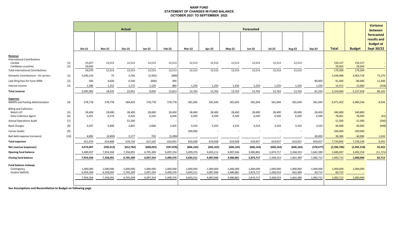#### **NANP FUND STATEMENT OF CHANGES IN FUND BALANCE OCTOBER 2021 TO SEPTEMBER 2022**

|                                                                            |            | <b>Actual</b>                       |                                     |                                     |                                     |                                     | Forecasted                          |                                     |                                     |                                     |                                     |                                   |                                  |                                  |                        | <b>Variance</b><br>between                           |
|----------------------------------------------------------------------------|------------|-------------------------------------|-------------------------------------|-------------------------------------|-------------------------------------|-------------------------------------|-------------------------------------|-------------------------------------|-------------------------------------|-------------------------------------|-------------------------------------|-----------------------------------|----------------------------------|----------------------------------|------------------------|------------------------------------------------------|
|                                                                            |            | Oct-21                              | <b>Nov-21</b>                       | <b>Dec-21</b>                       | <b>Jan-22</b>                       | Feb-22                              | Mar-22                              | Apr-22                              | $May-22$                            | <b>Jun-22</b>                       | <b>Jul-22</b>                       | <b>Aug-22</b>                     | <b>Sep-22</b>                    | <b>Total</b>                     | <b>Budget</b>          | forecasted<br>results and<br>budget at<br>Sept 30/22 |
| Revenue<br><b>International Contributions</b><br>Canada                    | (1)        | 25,027                              | 12,513                              | 12,513                              | 12,513                              | 12,513                              | 12,513                              | 12,513                              | 12,513                              | 12,513                              | 12,513                              | 12,513                            |                                  | 150,157                          | 150,157                |                                                      |
| Caribbean countries                                                        | (1)        | 29,043                              |                                     |                                     |                                     |                                     |                                     |                                     |                                     |                                     |                                     |                                   |                                  | 29,043                           | 29,043                 |                                                      |
| <b>Total International Contributions</b>                                   |            | 54,070                              | 12,513                              | 12,513                              | 12,513                              | 12,513                              | 12,513                              | 12,513                              | 12,513                              | 12,513                              | 12,513                              | 12,513                            |                                  | 179,200                          | 179,200                |                                                      |
| Domestic Contributions - US carriers                                       | (1)        | 5,040,124                           | 70                                  | 3,766                               | (3,992)                             | (980)                               |                                     |                                     |                                     |                                     |                                     |                                   |                                  | 5,038,988                        | 4,963,718              | 75,270                                               |
| Late filing fees for Form 499A<br>Interest income                          | (2)<br>(3) | 500<br>1,289                        | 4,600<br>1,252                      | 6,500<br>1,172                      | (600)<br>1,129                      | 400<br>880                          | 1,250                               | 1,250                               | 1,250                               | 1,250                               | 1,250                               | 1,250                             | 80,000<br>1,250                  | 91,400<br>14,472                 | 80,000<br>15,000       | 11,400<br>(528)                                      |
|                                                                            |            |                                     |                                     |                                     |                                     |                                     |                                     |                                     |                                     |                                     |                                     |                                   |                                  |                                  |                        |                                                      |
| <b>Total revenue</b>                                                       |            | 5,095,983                           | 18,435                              | 23,951                              | 9,050                               | 12,813                              | 13,763                              | 13,763                              | 13,763                              | 13,763                              | 13,763                              | 13,763                            | 81,250                           | 5,324,060                        | 5,237,918              | 86,142                                               |
| <b>Expenses</b><br>NANPA and Pooling Administration                        | (4)        | 578,778                             | 578,778                             | 584,429                             | 578,778                             | 578,778                             | 581,695                             | 581,695                             | 581,695                             | 581,694                             | 581,694                             | 581,694                           | 581,694                          | 6,971,402                        | 6,980,336              | 8,934                                                |
| <b>Billing and Collection</b><br>Welch LLP<br><b>Data Collection Agent</b> | (5)<br>(6) | 28,400<br>6,401                     | 28,400<br>6,574                     | 28,400<br>6,426                     | 28,400<br>6,556                     | 28,400<br>6,604                     | 28,400<br>6,500                     | 28,400<br>6,500                     | 28,400<br>6,500                     | 28,400<br>6,500                     | 28,400<br>6,500                     | 28,400<br>6,500                   | 28,400<br>6,500                  | 340,800<br>78,061                | 340,800<br>78,000      | (61)                                                 |
| <b>Annual Operations Audit</b>                                             | (7)        | $\sim$                              | $\sim$                              | 51,500                              | $\sim$                              |                                     | $\sim$                              | $\overline{\phantom{a}}$            | $\sim$                              | $\sim$                              | $\sim$                              | $\sim$                            |                                  | 51,500                           | 51,000                 | (500)                                                |
| <b>Bank Charges</b>                                                        | (8)        | 3,597                               | 5,896                               | 2,801                               | 2,668                               | 2,405                               | 3,333                               | 3,333                               | 3,333                               | 3,333                               | 3,333                               | 3,333                             | 3,333                            | 40,698                           | 40,000                 | (698)                                                |
| <b>Carrier Audits</b>                                                      | (9)        |                                     |                                     |                                     |                                     |                                     | 200,000                             |                                     |                                     |                                     |                                     |                                   |                                  | 200,000                          | 200,000                |                                                      |
| Bad debt expense (recovery)                                                | (10)       | 4,800                               | (4,800)                             | 3,177                               | 703                                 | (5, 496)                            |                                     |                                     |                                     |                                     |                                     |                                   | 40,000                           | 38,384                           | 40,000                 | 1,616                                                |
| <b>Total expenses</b>                                                      |            | 621,976                             | 614,848                             | 676,733                             | 617,105                             | 610,691                             | 819,928                             | 619,928                             | 619,928                             | 619,927                             | 619,927                             | 619,927                           | 659,927                          | 7,720,845                        | 7,730,136              | 9,291                                                |
| Net revenue (expenses)                                                     |            | 4,474,007                           | (596, 413)                          | (652, 782)                          | (608, 055)                          | (597, 878)                          | (806, 165)                          | (606, 165)                          | (606, 165)                          | (606, 164)                          | (606, 164)                          | (606, 164)                        | (578, 677)                       | (2,396,785)                      | (2,492,218)            | 95,433                                               |
| <b>Opening fund balance</b>                                                |            | 3,480,497                           | 7,954,504                           | 7,358,091                           | 6,705,309                           | 6,097,254                           | 5,499,376                           | 4,693,211                           | 4,087,046                           | 3,480,881                           | 2,874,717                           | 2,268,553                         | 1,662,389                        | 3,480,497                        | 3,492,218              | (11, 721)                                            |
| <b>Closing fund balance</b>                                                |            | 7,954,504                           | 7,358,091                           | 6,705,309                           | 6,097,254                           | 5,499,376                           | 4,693,211                           | 4,087,046                           | 3,480,881                           | 2,874,717                           | 2,268,553                           | 1,662,389                         | 1,083,712                        | 1,083,712                        | 1,000,000              | 83,712                                               |
| Fund balance makeup:<br>Contingency<br>Surplus (deficit)                   |            | 1,000,000<br>6,954,504<br>7,954,504 | 1,000,000<br>6,358,091<br>7,358,091 | 1,000,000<br>5,705,309<br>6,705,309 | 1,000,000<br>5,097,254<br>6,097,254 | 1,000,000<br>4,499,376<br>5,499,376 | 1,000,000<br>3,693,211<br>4,693,211 | 1,000,000<br>3,087,046<br>4,087,046 | 1,000,000<br>2,480,881<br>3,480,881 | 1,000,000<br>1,874,717<br>2,874,717 | 1,000,000<br>1,268,553<br>2,268,553 | 1,000,000<br>662,389<br>1,662,389 | 1,000,000<br>83,712<br>1,083,712 | 1,000,000<br>83,712<br>1,083,712 | 1,000,000<br>1,000,000 |                                                      |
|                                                                            |            |                                     |                                     |                                     |                                     |                                     |                                     |                                     |                                     |                                     |                                     |                                   |                                  |                                  |                        |                                                      |

**See Assumptions and Reconciliation to Budget on following page**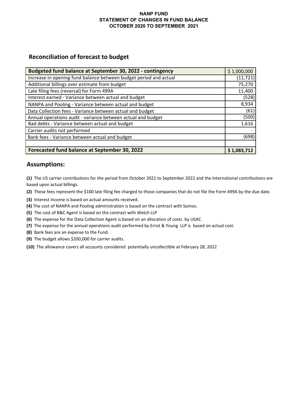### **NANP FUND STATEMENT OF CHANGES IN FUND BALANCE OCTOBER 2020 TO SEPTEMBER 2021**

# **Reconciliation of forecast to budget**

| Budgeted fund balance at September 30, 2022 - contingency         | \$1,000,000 |
|-------------------------------------------------------------------|-------------|
| Increase in opening fund balance between budget period and actual | (11, 721)   |
| Additional billings over estimate from budget                     | 75,270      |
| Late filing fees (reversal) for Form 499A                         | 11,400      |
| Interest earned - Variance between actual and budget              | (528)       |
| NANPA and Pooling - Variance between actual and budget            | 8,934       |
| Data Collection fees - Variance between actual and budget         | (61)        |
| Annual operations audit - variance between actual and budget      | (500)       |
| Bad debts - Variance between actual and budget                    | 1,616       |
| Carrier audits not performed                                      |             |
| Bank fees - Variance between actual and budget                    | (698)       |
|                                                                   |             |
| Forecasted fund balance at September 30, 2022                     | \$1,083,712 |

# **Assumptions:**

**(1)** The US carrier contributions for the period from October 2021 to September 2022 and the International contributions are based upon actual billings.

**(2)** These fees represent the \$100 late filing fee charged to those companies that do not file the Form 499A by the due date.

- **(3)** Interest income is based on actual amounts received.
- **(4)** The cost of NANPA and Pooling administration is based on the contract with Somos.
- **(5)** The cost of B&C Agent is based on the contract with Welch LLP
- **(6)** The expense for the Data Collection Agent is based on an allocation of costs by USAC.
- **(7)** The expense for the annual operations audit performed by Ernst & Young LLP is based on actual cost.
- **(8)** Bank fees are an expense to the Fund.
- **(9)** The budget allows \$200,000 for carrier audits.
- **(10)** The allowance covers all accounts considered potentially uncollectible at February 28, 2022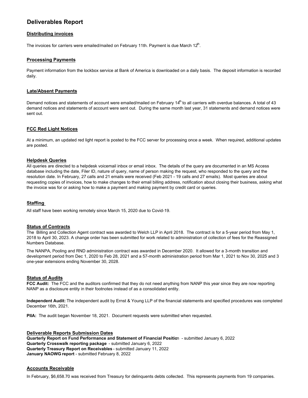# **Deliverables Report**

#### **Distributing invoices**

The invoices for carriers were emailed/mailed on February 11th. Payment is due March 12<sup>th</sup>.

#### **Processing Payments**

Payment information from the lockbox service at Bank of America is downloaded on a daily basis. The deposit information is recorded daily.

#### **Late/Absent Payments**

Demand notices and statements of account were emailed/mailed on February 14<sup>th</sup> to all carriers with overdue balances. A total of 43 demand notices and statements of account were sent out. During the same month last year, 31 statements and demand notices were sent out.

#### **FCC Red Light Notices**

At a minimum, an updated red light report is posted to the FCC server for processing once a week. When required, additional updates are posted.

#### **Helpdesk Queries**

All queries are directed to a helpdesk voicemail inbox or email inbox. The details of the query are documented in an MS Access database including the date, Filer ID, nature of query, name of person making the request, who responded to the query and the resolution date. In February, 27 calls and 21 emails were received (Feb 2021 - 19 calls and 27 emails). Most queries are about requesting copies of invoices, how to make changes to their email billing address, notification about closing their business, asking what the invoice was for or asking how to make a payment and making payment by credit card or queries.

#### **Staffing**

All staff have been working remotely since March 15, 2020 due to Covid-19.

#### **Status of Contracts**

The Billing and Collection Agent contract was awarded to Welch LLP in April 2018. The contract is for a 5-year period from May 1, 2018 to April 30, 2023. A change order has been submitted for work related to administration of collection of fees for the Reassigned Numbers Database.

The NANPA, Pooling and RND administration contract was awarded in December 2020. It allowed for a 3-month transition and development period from Dec 1, 2020 to Feb 28, 2021 and a 57-month administration period from Mar 1, 2021 to Nov 30, 2025 and 3 one-year extensions ending November 30, 2028.

#### **Status of Audits**

**FCC Audit:** The FCC and the auditors confirmed that they do not need anything from NANP this year since they are now reporting NANP as a disclosure entity in their footnotes instead of as a consolidated entity.

**Independent Audit:** The independent audit by Ernst & Young LLP of the financial statements and specified procedures was completed December 16th, 2021.

**PIIA:** The audit began November 18, 2021. Document requests were submitted when requested.

#### **Deliverable Reports Submission Dates**

**Quarterly Report on Fund Performance and Statement of Financial Positio**n - submitted January 6, 2022 **Quarterly Crosswalk reporting package** - submitted January 6, 2022 **Quarterly Treasury Report on Receivables** - submitted January 11, 2022 **January NAOWG report** - submitted February 8, 2022

#### **Accounts Receivable**

In February, \$6,658.70 was received from Treasury for delinquents debts collected. This represents payments from 19 companies.